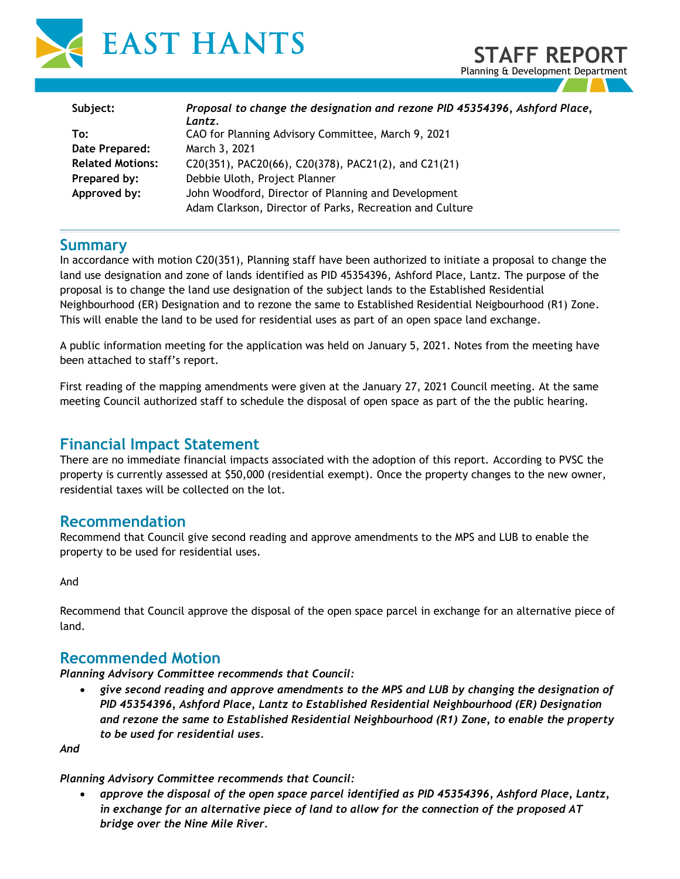

| Subject:                | Proposal to change the designation and rezone PID 45354396, Ashford Place,<br>Lantz. |
|-------------------------|--------------------------------------------------------------------------------------|
| To:                     | CAO for Planning Advisory Committee, March 9, 2021                                   |
| Date Prepared:          | March 3, 2021                                                                        |
| <b>Related Motions:</b> | C20(351), PAC20(66), C20(378), PAC21(2), and C21(21)                                 |
| Prepared by:            | Debbie Uloth, Project Planner                                                        |
| Approved by:            | John Woodford, Director of Planning and Development                                  |
|                         | Adam Clarkson, Director of Parks, Recreation and Culture                             |

**STAFF REPORT** Planning & Development Department

#### **Summary**

In accordance with motion C20(351), Planning staff have been authorized to initiate a proposal to change the land use designation and zone of lands identified as PID 45354396, Ashford Place, Lantz. The purpose of the proposal is to change the land use designation of the subject lands to the Established Residential Neighbourhood (ER) Designation and to rezone the same to Established Residential Neigbourhood (R1) Zone. This will enable the land to be used for residential uses as part of an open space land exchange.

A public information meeting for the application was held on January 5, 2021. Notes from the meeting have been attached to staff's report.

First reading of the mapping amendments were given at the January 27, 2021 Council meeting. At the same meeting Council authorized staff to schedule the disposal of open space as part of the the public hearing.

## **Financial Impact Statement**

There are no immediate financial impacts associated with the adoption of this report. According to PVSC the property is currently assessed at \$50,000 (residential exempt). Once the property changes to the new owner, residential taxes will be collected on the lot.

### **Recommendation**

Recommend that Council give second reading and approve amendments to the MPS and LUB to enable the property to be used for residential uses.

And

Recommend that Council approve the disposal of the open space parcel in exchange for an alternative piece of land.

### **Recommended Motion**

*Planning Advisory Committee recommends that Council:* 

• *give second reading and approve amendments to the MPS and LUB by changing the designation of PID 45354396, Ashford Place, Lantz to Established Residential Neighbourhood (ER) Designation and rezone the same to Established Residential Neighbourhood (R1) Zone, to enable the property to be used for residential uses.* 

*And*

#### *Planning Advisory Committee recommends that Council:*

• *approve the disposal of the open space parcel identified as PID 45354396, Ashford Place, Lantz, in exchange for an alternative piece of land to allow for the connection of the proposed AT bridge over the Nine Mile River.*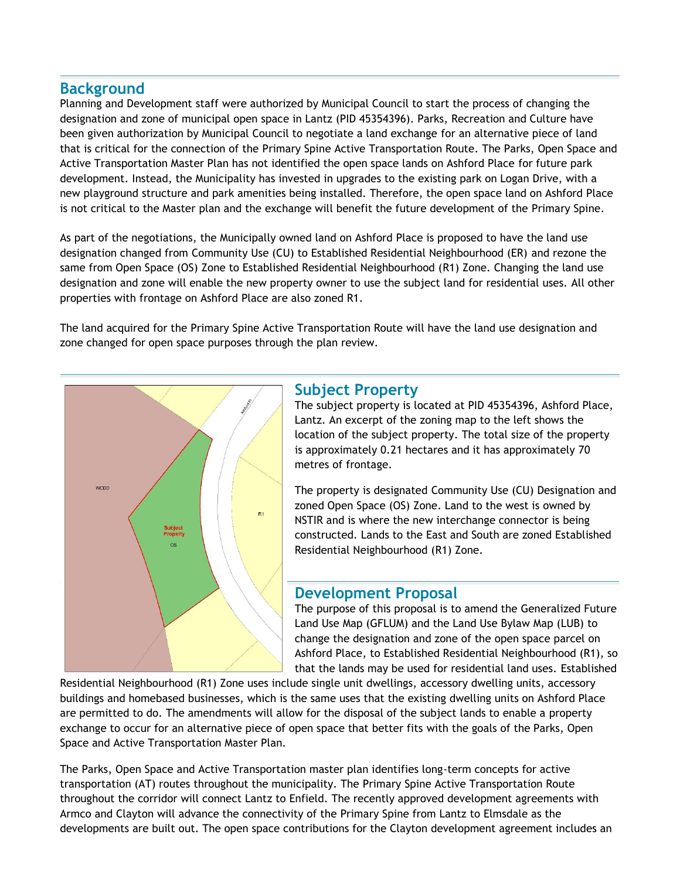## **Background**

Planning and Development staff were authorized by Municipal Council to start the process of changing the designation and zone of municipal open space in Lantz (PID 45354396). Parks, Recreation and Culture have been given authorization by Municipal Council to negotiate a land exchange for an alternative piece of land that is critical for the connection of the Primary Spine Active Transportation Route. The Parks, Open Space and Active Transportation Master Plan has not identified the open space lands on Ashford Place for future park development. Instead, the Municipality has invested in upgrades to the existing park on Logan Drive, with a new playground structure and park amenities being installed. Therefore, the open space land on Ashford Place is not critical to the Master plan and the exchange will benefit the future development of the Primary Spine.

As part of the negotiations, the Municipally owned land on Ashford Place is proposed to have the land use designation changed from Community Use (CU) to Established Residential Neighbourhood (ER) and rezone the same from Open Space (OS) Zone to Established Residential Neighbourhood (R1) Zone. Changing the land use designation and zone will enable the new property owner to use the subject land for residential uses. All other properties with frontage on Ashford Place are also zoned R1.

The land acquired for the Primary Spine Active Transportation Route will have the land use designation and zone changed for open space purposes through the plan review.



## **Subject Property**

The subject property is located at PID 45354396, Ashford Place, Lantz. An excerpt of the zoning map to the left shows the location of the subject property. The total size of the property is approximately 0.21 hectares and it has approximately 70 metres of frontage.

The property is designated Community Use (CU) Designation and zoned Open Space (OS) Zone. Land to the west is owned by NSTIR and is where the new interchange connector is being constructed. Lands to the East and South are zoned Established Residential Neighbourhood (R1) Zone.

### **Development Proposal**

The purpose of this proposal is to amend the Generalized Future Land Use Map (GFLUM) and the Land Use Bylaw Map (LUB) to change the designation and zone of the open space parcel on Ashford Place, to Established Residential Neighbourhood (R1), so that the lands may be used for residential land uses. Established

Residential Neighbourhood (R1) Zone uses include single unit dwellings, accessory dwelling units, accessory buildings and homebased businesses, which is the same uses that the existing dwelling units on Ashford Place are permitted to do. The amendments will allow for the disposal of the subject lands to enable a property exchange to occur for an alternative piece of open space that better fits with the goals of the Parks, Open Space and Active Transportation Master Plan.

The Parks, Open Space and Active Transportation master plan identifies long-term concepts for active transportation (AT) routes throughout the municipality. The Primary Spine Active Transportation Route throughout the corridor will connect Lantz to Enfield. The recently approved development agreements with Armco and Clayton will advance the connectivity of the Primary Spine from Lantz to Elmsdale as the developments are built out. The open space contributions for the Clayton development agreement includes an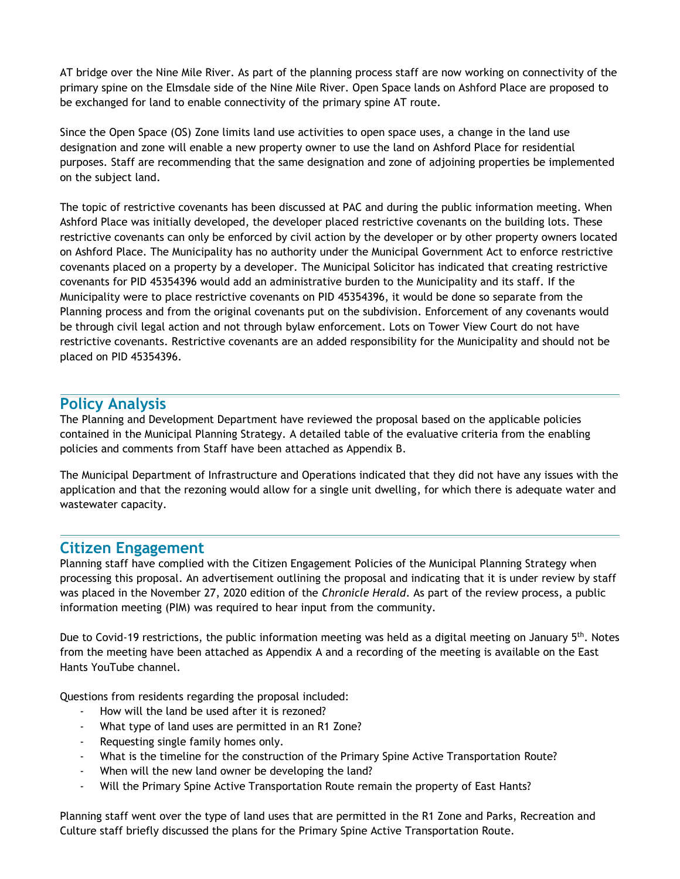AT bridge over the Nine Mile River. As part of the planning process staff are now working on connectivity of the primary spine on the Elmsdale side of the Nine Mile River. Open Space lands on Ashford Place are proposed to be exchanged for land to enable connectivity of the primary spine AT route.

Since the Open Space (OS) Zone limits land use activities to open space uses, a change in the land use designation and zone will enable a new property owner to use the land on Ashford Place for residential purposes. Staff are recommending that the same designation and zone of adjoining properties be implemented on the subject land.

The topic of restrictive covenants has been discussed at PAC and during the public information meeting. When Ashford Place was initially developed, the developer placed restrictive covenants on the building lots. These restrictive covenants can only be enforced by civil action by the developer or by other property owners located on Ashford Place. The Municipality has no authority under the Municipal Government Act to enforce restrictive covenants placed on a property by a developer. The Municipal Solicitor has indicated that creating restrictive covenants for PID 45354396 would add an administrative burden to the Municipality and its staff. If the Municipality were to place restrictive covenants on PID 45354396, it would be done so separate from the Planning process and from the original covenants put on the subdivision. Enforcement of any covenants would be through civil legal action and not through bylaw enforcement. Lots on Tower View Court do not have restrictive covenants. Restrictive covenants are an added responsibility for the Municipality and should not be placed on PID 45354396.

#### **Policy Analysis**

The Planning and Development Department have reviewed the proposal based on the applicable policies contained in the Municipal Planning Strategy. A detailed table of the evaluative criteria from the enabling policies and comments from Staff have been attached as Appendix B.

The Municipal Department of Infrastructure and Operations indicated that they did not have any issues with the application and that the rezoning would allow for a single unit dwelling, for which there is adequate water and wastewater capacity.

### **Citizen Engagement**

Planning staff have complied with the Citizen Engagement Policies of the Municipal Planning Strategy when processing this proposal. An advertisement outlining the proposal and indicating that it is under review by staff was placed in the November 27, 2020 edition of the *Chronicle Herald*. As part of the review process, a public information meeting (PIM) was required to hear input from the community.

Due to Covid-19 restrictions, the public information meeting was held as a digital meeting on January  $5<sup>th</sup>$ . Notes from the meeting have been attached as Appendix A and a recording of the meeting is available on the East Hants YouTube channel.

Questions from residents regarding the proposal included:

- How will the land be used after it is rezoned?
- What type of land uses are permitted in an R1 Zone?
- Requesting single family homes only.
- What is the timeline for the construction of the Primary Spine Active Transportation Route?
- When will the new land owner be developing the land?
- Will the Primary Spine Active Transportation Route remain the property of East Hants?

Planning staff went over the type of land uses that are permitted in the R1 Zone and Parks, Recreation and Culture staff briefly discussed the plans for the Primary Spine Active Transportation Route.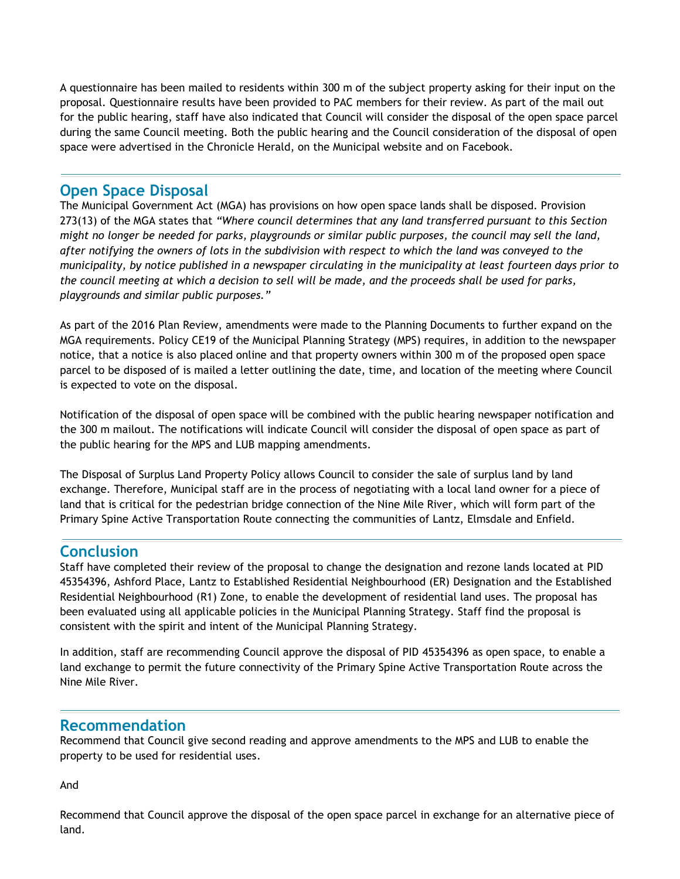A questionnaire has been mailed to residents within 300 m of the subject property asking for their input on the proposal. Questionnaire results have been provided to PAC members for their review. As part of the mail out for the public hearing, staff have also indicated that Council will consider the disposal of the open space parcel during the same Council meeting. Both the public hearing and the Council consideration of the disposal of open space were advertised in the Chronicle Herald, on the Municipal website and on Facebook.

#### **Open Space Disposal**

The Municipal Government Act (MGA) has provisions on how open space lands shall be disposed. Provision 273(13) of the MGA states that *"Where council determines that any land transferred pursuant to this Section might no longer be needed for parks, playgrounds or similar public purposes, the council may sell the land, after notifying the owners of lots in the subdivision with respect to which the land was conveyed to the municipality, by notice published in a newspaper circulating in the municipality at least fourteen days prior to the council meeting at which a decision to sell will be made, and the proceeds shall be used for parks, playgrounds and similar public purposes."* 

As part of the 2016 Plan Review, amendments were made to the Planning Documents to further expand on the MGA requirements. Policy CE19 of the Municipal Planning Strategy (MPS) requires, in addition to the newspaper notice, that a notice is also placed online and that property owners within 300 m of the proposed open space parcel to be disposed of is mailed a letter outlining the date, time, and location of the meeting where Council is expected to vote on the disposal.

Notification of the disposal of open space will be combined with the public hearing newspaper notification and the 300 m mailout. The notifications will indicate Council will consider the disposal of open space as part of the public hearing for the MPS and LUB mapping amendments.

The Disposal of Surplus Land Property Policy allows Council to consider the sale of surplus land by land exchange. Therefore, Municipal staff are in the process of negotiating with a local land owner for a piece of land that is critical for the pedestrian bridge connection of the Nine Mile River, which will form part of the Primary Spine Active Transportation Route connecting the communities of Lantz, Elmsdale and Enfield.

### **Conclusion**

Staff have completed their review of the proposal to change the designation and rezone lands located at PID 45354396, Ashford Place, Lantz to Established Residential Neighbourhood (ER) Designation and the Established Residential Neighbourhood (R1) Zone, to enable the development of residential land uses. The proposal has been evaluated using all applicable policies in the Municipal Planning Strategy. Staff find the proposal is consistent with the spirit and intent of the Municipal Planning Strategy.

In addition, staff are recommending Council approve the disposal of PID 45354396 as open space, to enable a land exchange to permit the future connectivity of the Primary Spine Active Transportation Route across the Nine Mile River.

### **Recommendation**

Recommend that Council give second reading and approve amendments to the MPS and LUB to enable the property to be used for residential uses.

And

Recommend that Council approve the disposal of the open space parcel in exchange for an alternative piece of land.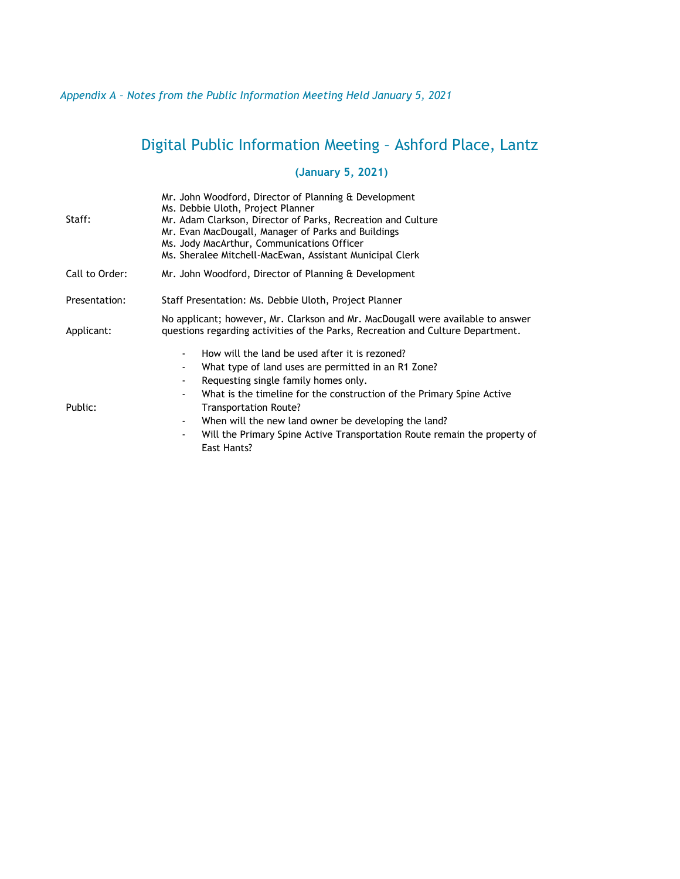#### *Appendix A – Notes from the Public Information Meeting Held January 5, 2021*

# Digital Public Information Meeting – Ashford Place, Lantz

#### **(January 5, 2021)**

| Staff:         | Mr. John Woodford, Director of Planning & Development<br>Ms. Debbie Uloth, Project Planner<br>Mr. Adam Clarkson, Director of Parks, Recreation and Culture<br>Mr. Evan MacDougall, Manager of Parks and Buildings<br>Ms. Jody MacArthur, Communications Officer<br>Ms. Sheralee Mitchell-MacEwan, Assistant Municipal Clerk                                                                                                                                                               |  |
|----------------|-------------------------------------------------------------------------------------------------------------------------------------------------------------------------------------------------------------------------------------------------------------------------------------------------------------------------------------------------------------------------------------------------------------------------------------------------------------------------------------------|--|
| Call to Order: | Mr. John Woodford, Director of Planning & Development                                                                                                                                                                                                                                                                                                                                                                                                                                     |  |
| Presentation:  | Staff Presentation: Ms. Debbie Uloth, Project Planner                                                                                                                                                                                                                                                                                                                                                                                                                                     |  |
| Applicant:     | No applicant; however, Mr. Clarkson and Mr. MacDougall were available to answer<br>guestions regarding activities of the Parks, Recreation and Culture Department.                                                                                                                                                                                                                                                                                                                        |  |
| Public:        | How will the land be used after it is rezoned?<br>$\overline{a}$<br>What type of land uses are permitted in an R1 Zone?<br>Requesting single family homes only.<br>$\qquad \qquad \blacksquare$<br>What is the timeline for the construction of the Primary Spine Active<br>$\overline{a}$<br>Transportation Route?<br>When will the new land owner be developing the land?<br>$\blacksquare$<br>Will the Primary Spine Active Transportation Route remain the property of<br>East Hants? |  |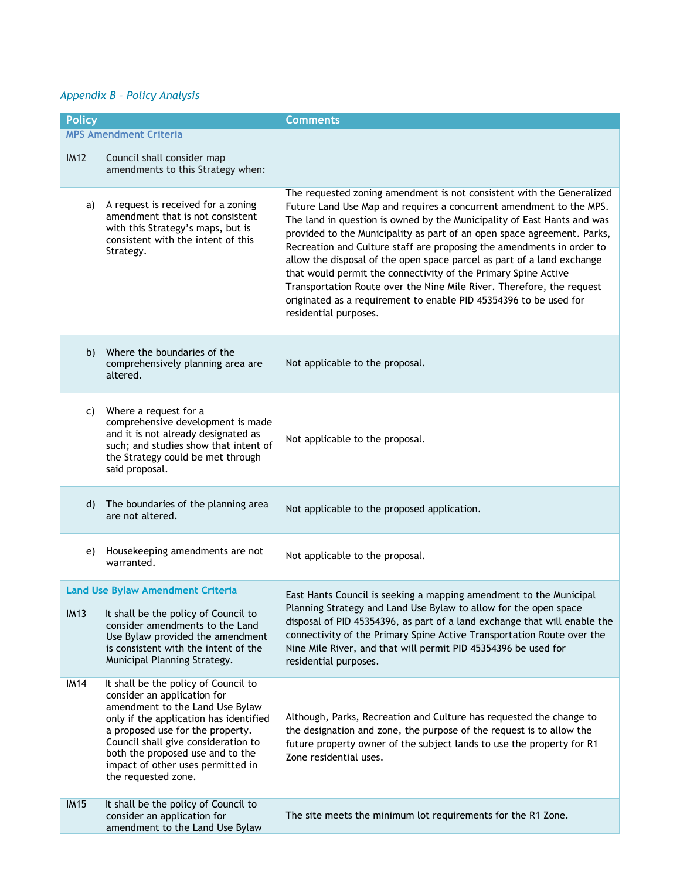#### *Appendix B – Policy Analysis*

| <b>Policy</b> |                                                                                                                                                                                                                                                                                                                             | <b>Comments</b>                                                                                                                                                                                                                                                                                                                                                                                                                                                                                                                                                                                                                                                                                |
|---------------|-----------------------------------------------------------------------------------------------------------------------------------------------------------------------------------------------------------------------------------------------------------------------------------------------------------------------------|------------------------------------------------------------------------------------------------------------------------------------------------------------------------------------------------------------------------------------------------------------------------------------------------------------------------------------------------------------------------------------------------------------------------------------------------------------------------------------------------------------------------------------------------------------------------------------------------------------------------------------------------------------------------------------------------|
|               | <b>MPS Amendment Criteria</b>                                                                                                                                                                                                                                                                                               |                                                                                                                                                                                                                                                                                                                                                                                                                                                                                                                                                                                                                                                                                                |
| IM12          | Council shall consider map<br>amendments to this Strategy when:                                                                                                                                                                                                                                                             |                                                                                                                                                                                                                                                                                                                                                                                                                                                                                                                                                                                                                                                                                                |
| a)            | A request is received for a zoning<br>amendment that is not consistent<br>with this Strategy's maps, but is<br>consistent with the intent of this<br>Strategy.                                                                                                                                                              | The requested zoning amendment is not consistent with the Generalized<br>Future Land Use Map and requires a concurrent amendment to the MPS.<br>The land in question is owned by the Municipality of East Hants and was<br>provided to the Municipality as part of an open space agreement. Parks,<br>Recreation and Culture staff are proposing the amendments in order to<br>allow the disposal of the open space parcel as part of a land exchange<br>that would permit the connectivity of the Primary Spine Active<br>Transportation Route over the Nine Mile River. Therefore, the request<br>originated as a requirement to enable PID 45354396 to be used for<br>residential purposes. |
| b)            | Where the boundaries of the<br>comprehensively planning area are<br>altered.                                                                                                                                                                                                                                                | Not applicable to the proposal.                                                                                                                                                                                                                                                                                                                                                                                                                                                                                                                                                                                                                                                                |
| C)            | Where a request for a<br>comprehensive development is made<br>and it is not already designated as<br>such; and studies show that intent of<br>the Strategy could be met through<br>said proposal.                                                                                                                           | Not applicable to the proposal.                                                                                                                                                                                                                                                                                                                                                                                                                                                                                                                                                                                                                                                                |
| d)            | The boundaries of the planning area<br>are not altered.                                                                                                                                                                                                                                                                     | Not applicable to the proposed application.                                                                                                                                                                                                                                                                                                                                                                                                                                                                                                                                                                                                                                                    |
| e)            | Housekeeping amendments are not<br>warranted.                                                                                                                                                                                                                                                                               | Not applicable to the proposal.                                                                                                                                                                                                                                                                                                                                                                                                                                                                                                                                                                                                                                                                |
| <b>IM13</b>   | <b>Land Use Bylaw Amendment Criteria</b><br>It shall be the policy of Council to<br>consider amendments to the Land<br>Use Bylaw provided the amendment<br>is consistent with the intent of the<br>Municipal Planning Strategy.                                                                                             | East Hants Council is seeking a mapping amendment to the Municipal<br>Planning Strategy and Land Use Bylaw to allow for the open space<br>disposal of PID 45354396, as part of a land exchange that will enable the<br>connectivity of the Primary Spine Active Transportation Route over the<br>Nine Mile River, and that will permit PID 45354396 be used for<br>residential purposes.                                                                                                                                                                                                                                                                                                       |
| <b>IM14</b>   | It shall be the policy of Council to<br>consider an application for<br>amendment to the Land Use Bylaw<br>only if the application has identified<br>a proposed use for the property.<br>Council shall give consideration to<br>both the proposed use and to the<br>impact of other uses permitted in<br>the requested zone. | Although, Parks, Recreation and Culture has requested the change to<br>the designation and zone, the purpose of the request is to allow the<br>future property owner of the subject lands to use the property for R1<br>Zone residential uses.                                                                                                                                                                                                                                                                                                                                                                                                                                                 |
| <b>IM15</b>   | It shall be the policy of Council to<br>consider an application for<br>amendment to the Land Use Bylaw                                                                                                                                                                                                                      | The site meets the minimum lot requirements for the R1 Zone.                                                                                                                                                                                                                                                                                                                                                                                                                                                                                                                                                                                                                                   |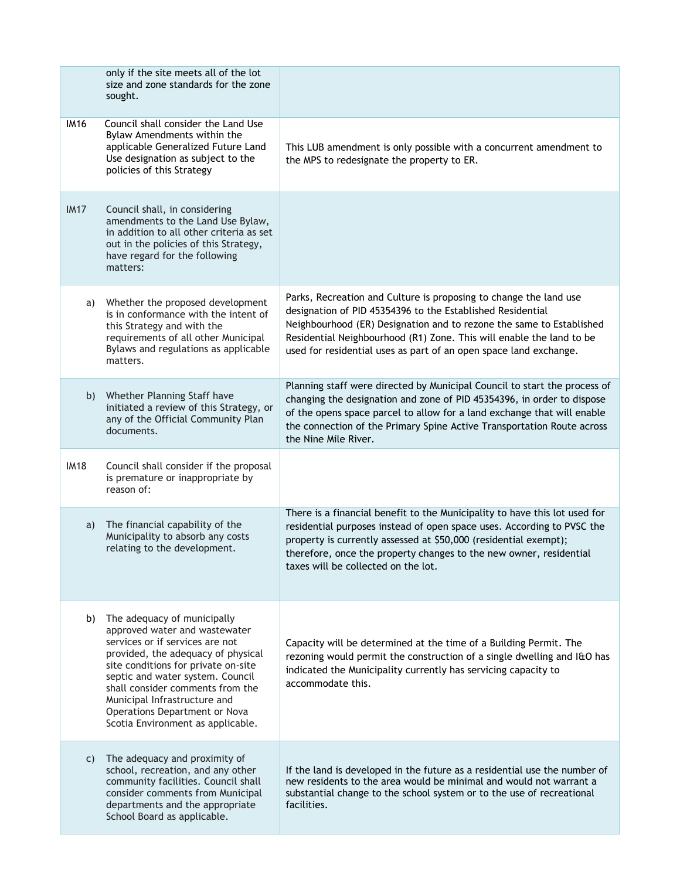|             | only if the site meets all of the lot<br>size and zone standards for the zone<br>sought.                                                                                                                                                                                                                                                                   |                                                                                                                                                                                                                                                                                                                                                      |
|-------------|------------------------------------------------------------------------------------------------------------------------------------------------------------------------------------------------------------------------------------------------------------------------------------------------------------------------------------------------------------|------------------------------------------------------------------------------------------------------------------------------------------------------------------------------------------------------------------------------------------------------------------------------------------------------------------------------------------------------|
| <b>IM16</b> | Council shall consider the Land Use<br>Bylaw Amendments within the<br>applicable Generalized Future Land<br>Use designation as subject to the<br>policies of this Strategy                                                                                                                                                                                 | This LUB amendment is only possible with a concurrent amendment to<br>the MPS to redesignate the property to ER.                                                                                                                                                                                                                                     |
| <b>IM17</b> | Council shall, in considering<br>amendments to the Land Use Bylaw,<br>in addition to all other criteria as set<br>out in the policies of this Strategy,<br>have regard for the following<br>matters:                                                                                                                                                       |                                                                                                                                                                                                                                                                                                                                                      |
| a)          | Whether the proposed development<br>is in conformance with the intent of<br>this Strategy and with the<br>requirements of all other Municipal<br>Bylaws and regulations as applicable<br>matters.                                                                                                                                                          | Parks, Recreation and Culture is proposing to change the land use<br>designation of PID 45354396 to the Established Residential<br>Neighbourhood (ER) Designation and to rezone the same to Established<br>Residential Neighbourhood (R1) Zone. This will enable the land to be<br>used for residential uses as part of an open space land exchange. |
| b)          | Whether Planning Staff have<br>initiated a review of this Strategy, or<br>any of the Official Community Plan<br>documents.                                                                                                                                                                                                                                 | Planning staff were directed by Municipal Council to start the process of<br>changing the designation and zone of PID 45354396, in order to dispose<br>of the opens space parcel to allow for a land exchange that will enable<br>the connection of the Primary Spine Active Transportation Route across<br>the Nine Mile River.                     |
| <b>IM18</b> | Council shall consider if the proposal<br>is premature or inappropriate by<br>reason of:                                                                                                                                                                                                                                                                   |                                                                                                                                                                                                                                                                                                                                                      |
| a)          | The financial capability of the<br>Municipality to absorb any costs<br>relating to the development.                                                                                                                                                                                                                                                        | There is a financial benefit to the Municipality to have this lot used for<br>residential purposes instead of open space uses. According to PVSC the<br>property is currently assessed at \$50,000 (residential exempt);<br>therefore, once the property changes to the new owner, residential<br>taxes will be collected on the lot.                |
| b)          | The adequacy of municipally<br>approved water and wastewater<br>services or if services are not<br>provided, the adequacy of physical<br>site conditions for private on-site<br>septic and water system. Council<br>shall consider comments from the<br>Municipal Infrastructure and<br>Operations Department or Nova<br>Scotia Environment as applicable. | Capacity will be determined at the time of a Building Permit. The<br>rezoning would permit the construction of a single dwelling and I&O has<br>indicated the Municipality currently has servicing capacity to<br>accommodate this.                                                                                                                  |
| C)          | The adequacy and proximity of<br>school, recreation, and any other<br>community facilities. Council shall<br>consider comments from Municipal<br>departments and the appropriate<br>School Board as applicable.                                                                                                                                            | If the land is developed in the future as a residential use the number of<br>new residents to the area would be minimal and would not warrant a<br>substantial change to the school system or to the use of recreational<br>facilities.                                                                                                              |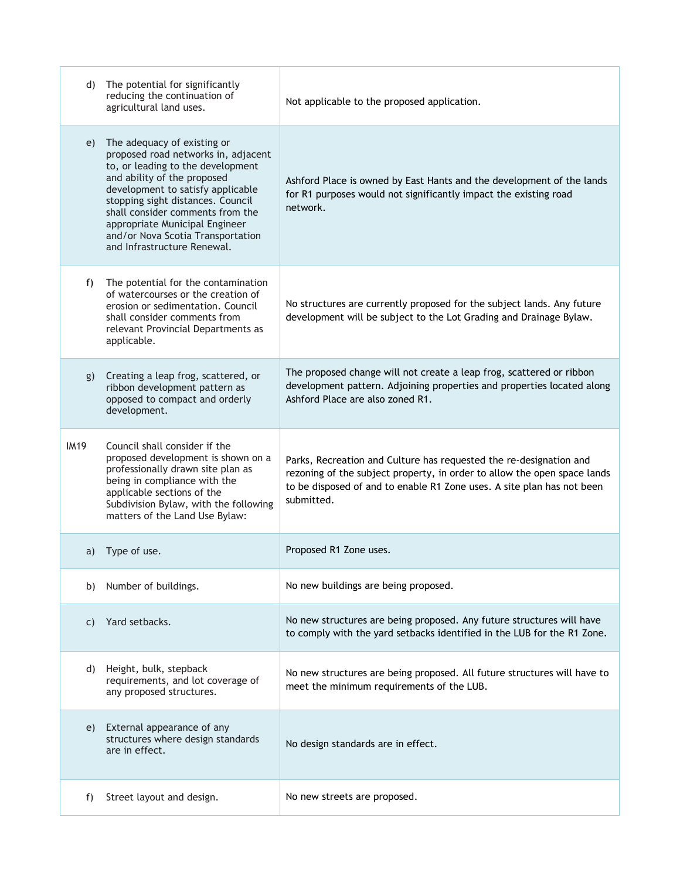| d)          | The potential for significantly<br>reducing the continuation of<br>agricultural land uses.                                                                                                                                                                                                                                                                 | Not applicable to the proposed application.                                                                                                                                                                                            |
|-------------|------------------------------------------------------------------------------------------------------------------------------------------------------------------------------------------------------------------------------------------------------------------------------------------------------------------------------------------------------------|----------------------------------------------------------------------------------------------------------------------------------------------------------------------------------------------------------------------------------------|
| e)          | The adequacy of existing or<br>proposed road networks in, adjacent<br>to, or leading to the development<br>and ability of the proposed<br>development to satisfy applicable<br>stopping sight distances. Council<br>shall consider comments from the<br>appropriate Municipal Engineer<br>and/or Nova Scotia Transportation<br>and Infrastructure Renewal. | Ashford Place is owned by East Hants and the development of the lands<br>for R1 purposes would not significantly impact the existing road<br>network.                                                                                  |
| f)          | The potential for the contamination<br>of watercourses or the creation of<br>erosion or sedimentation. Council<br>shall consider comments from<br>relevant Provincial Departments as<br>applicable.                                                                                                                                                        | No structures are currently proposed for the subject lands. Any future<br>development will be subject to the Lot Grading and Drainage Bylaw.                                                                                           |
| g)          | Creating a leap frog, scattered, or<br>ribbon development pattern as<br>opposed to compact and orderly<br>development.                                                                                                                                                                                                                                     | The proposed change will not create a leap frog, scattered or ribbon<br>development pattern. Adjoining properties and properties located along<br>Ashford Place are also zoned R1.                                                     |
| <b>IM19</b> | Council shall consider if the<br>proposed development is shown on a<br>professionally drawn site plan as<br>being in compliance with the<br>applicable sections of the<br>Subdivision Bylaw, with the following<br>matters of the Land Use Bylaw:                                                                                                          | Parks, Recreation and Culture has requested the re-designation and<br>rezoning of the subject property, in order to allow the open space lands<br>to be disposed of and to enable R1 Zone uses. A site plan has not been<br>submitted. |
| a)          | Type of use.                                                                                                                                                                                                                                                                                                                                               | Proposed R1 Zone uses.                                                                                                                                                                                                                 |
| b)          | Number of buildings.                                                                                                                                                                                                                                                                                                                                       | No new buildings are being proposed.                                                                                                                                                                                                   |
| C)          | Yard setbacks.                                                                                                                                                                                                                                                                                                                                             | No new structures are being proposed. Any future structures will have<br>to comply with the yard setbacks identified in the LUB for the R1 Zone.                                                                                       |
| d)          | Height, bulk, stepback<br>requirements, and lot coverage of<br>any proposed structures.                                                                                                                                                                                                                                                                    | No new structures are being proposed. All future structures will have to<br>meet the minimum requirements of the LUB.                                                                                                                  |
| e)          | External appearance of any<br>structures where design standards<br>are in effect.                                                                                                                                                                                                                                                                          | No design standards are in effect.                                                                                                                                                                                                     |
| f)          | Street layout and design.                                                                                                                                                                                                                                                                                                                                  | No new streets are proposed.                                                                                                                                                                                                           |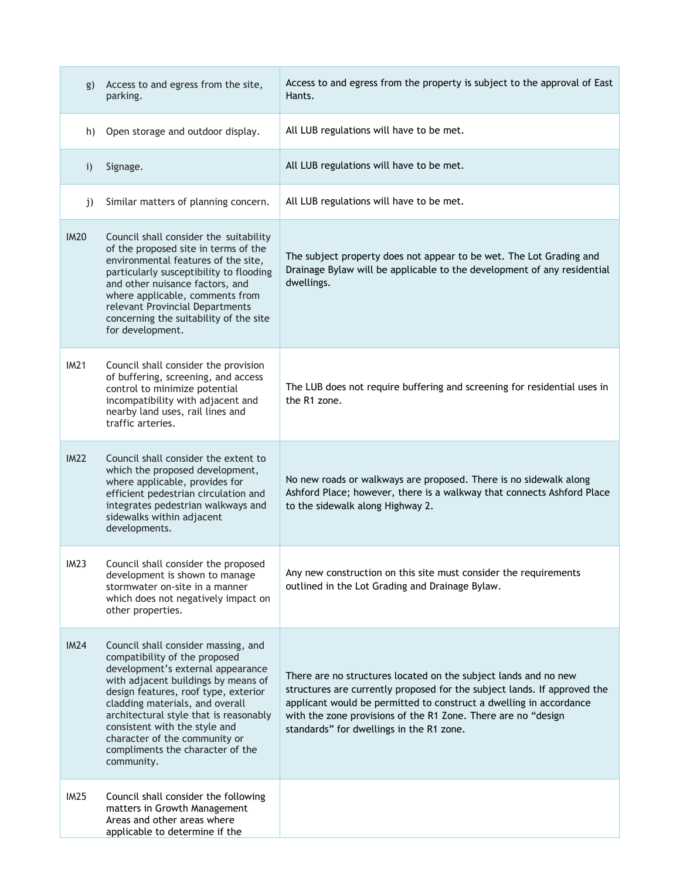| g)           | Access to and egress from the site,<br>parking.                                                                                                                                                                                                                                                                                                                                           | Access to and egress from the property is subject to the approval of East<br>Hants.                                                                                                                                                                                                                                            |
|--------------|-------------------------------------------------------------------------------------------------------------------------------------------------------------------------------------------------------------------------------------------------------------------------------------------------------------------------------------------------------------------------------------------|--------------------------------------------------------------------------------------------------------------------------------------------------------------------------------------------------------------------------------------------------------------------------------------------------------------------------------|
| h)           | Open storage and outdoor display.                                                                                                                                                                                                                                                                                                                                                         | All LUB regulations will have to be met.                                                                                                                                                                                                                                                                                       |
| $\mathbf{i}$ | Signage.                                                                                                                                                                                                                                                                                                                                                                                  | All LUB regulations will have to be met.                                                                                                                                                                                                                                                                                       |
| j)           | Similar matters of planning concern.                                                                                                                                                                                                                                                                                                                                                      | All LUB regulations will have to be met.                                                                                                                                                                                                                                                                                       |
| <b>IM20</b>  | Council shall consider the suitability<br>of the proposed site in terms of the<br>environmental features of the site,<br>particularly susceptibility to flooding<br>and other nuisance factors, and<br>where applicable, comments from<br>relevant Provincial Departments<br>concerning the suitability of the site<br>for development.                                                   | The subject property does not appear to be wet. The Lot Grading and<br>Drainage Bylaw will be applicable to the development of any residential<br>dwellings.                                                                                                                                                                   |
| IM21         | Council shall consider the provision<br>of buffering, screening, and access<br>control to minimize potential<br>incompatibility with adjacent and<br>nearby land uses, rail lines and<br>traffic arteries.                                                                                                                                                                                | The LUB does not require buffering and screening for residential uses in<br>the R1 zone.                                                                                                                                                                                                                                       |
| <b>IM22</b>  | Council shall consider the extent to<br>which the proposed development,<br>where applicable, provides for<br>efficient pedestrian circulation and<br>integrates pedestrian walkways and<br>sidewalks within adjacent<br>developments.                                                                                                                                                     | No new roads or walkways are proposed. There is no sidewalk along<br>Ashford Place; however, there is a walkway that connects Ashford Place<br>to the sidewalk along Highway 2.                                                                                                                                                |
| IM23         | Council shall consider the proposed<br>development is shown to manage<br>stormwater on-site in a manner<br>which does not negatively impact on<br>other properties.                                                                                                                                                                                                                       | Any new construction on this site must consider the requirements<br>outlined in the Lot Grading and Drainage Bylaw.                                                                                                                                                                                                            |
| IM24         | Council shall consider massing, and<br>compatibility of the proposed<br>development's external appearance<br>with adjacent buildings by means of<br>design features, roof type, exterior<br>cladding materials, and overall<br>architectural style that is reasonably<br>consistent with the style and<br>character of the community or<br>compliments the character of the<br>community. | There are no structures located on the subject lands and no new<br>structures are currently proposed for the subject lands. If approved the<br>applicant would be permitted to construct a dwelling in accordance<br>with the zone provisions of the R1 Zone. There are no "design<br>standards" for dwellings in the R1 zone. |
| <b>IM25</b>  | Council shall consider the following<br>matters in Growth Management<br>Areas and other areas where<br>applicable to determine if the                                                                                                                                                                                                                                                     |                                                                                                                                                                                                                                                                                                                                |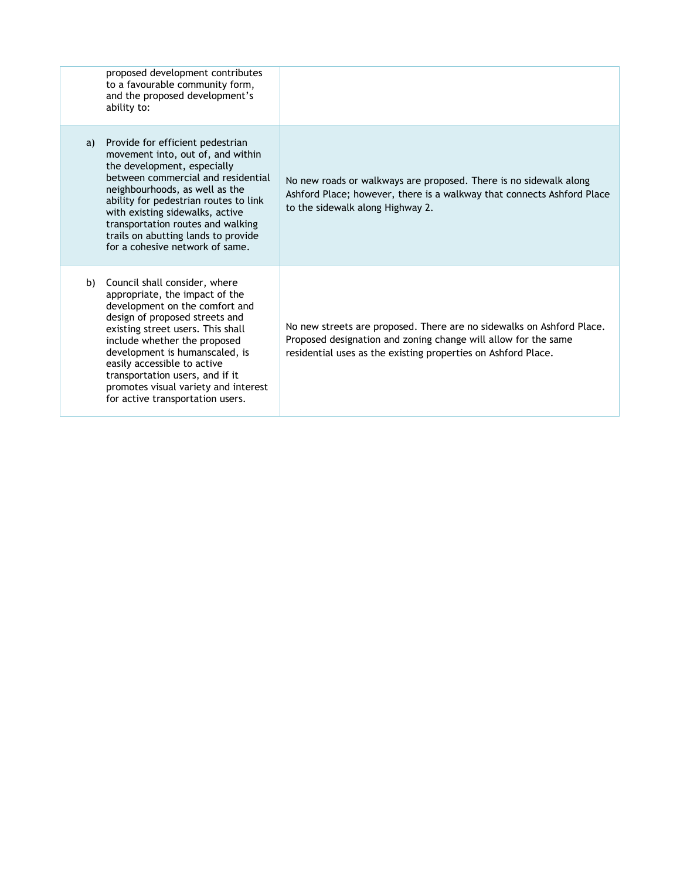|    | proposed development contributes<br>to a favourable community form,<br>and the proposed development's<br>ability to:                                                                                                                                                                                                                                                                        |                                                                                                                                                                                                          |
|----|---------------------------------------------------------------------------------------------------------------------------------------------------------------------------------------------------------------------------------------------------------------------------------------------------------------------------------------------------------------------------------------------|----------------------------------------------------------------------------------------------------------------------------------------------------------------------------------------------------------|
| a) | Provide for efficient pedestrian<br>movement into, out of, and within<br>the development, especially<br>between commercial and residential<br>neighbourhoods, as well as the<br>ability for pedestrian routes to link<br>with existing sidewalks, active<br>transportation routes and walking<br>trails on abutting lands to provide<br>for a cohesive network of same.                     | No new roads or walkways are proposed. There is no sidewalk along<br>Ashford Place; however, there is a walkway that connects Ashford Place<br>to the sidewalk along Highway 2.                          |
|    | b) Council shall consider, where<br>appropriate, the impact of the<br>development on the comfort and<br>design of proposed streets and<br>existing street users. This shall<br>include whether the proposed<br>development is humanscaled, is<br>easily accessible to active<br>transportation users, and if it<br>promotes visual variety and interest<br>for active transportation users. | No new streets are proposed. There are no sidewalks on Ashford Place.<br>Proposed designation and zoning change will allow for the same<br>residential uses as the existing properties on Ashford Place. |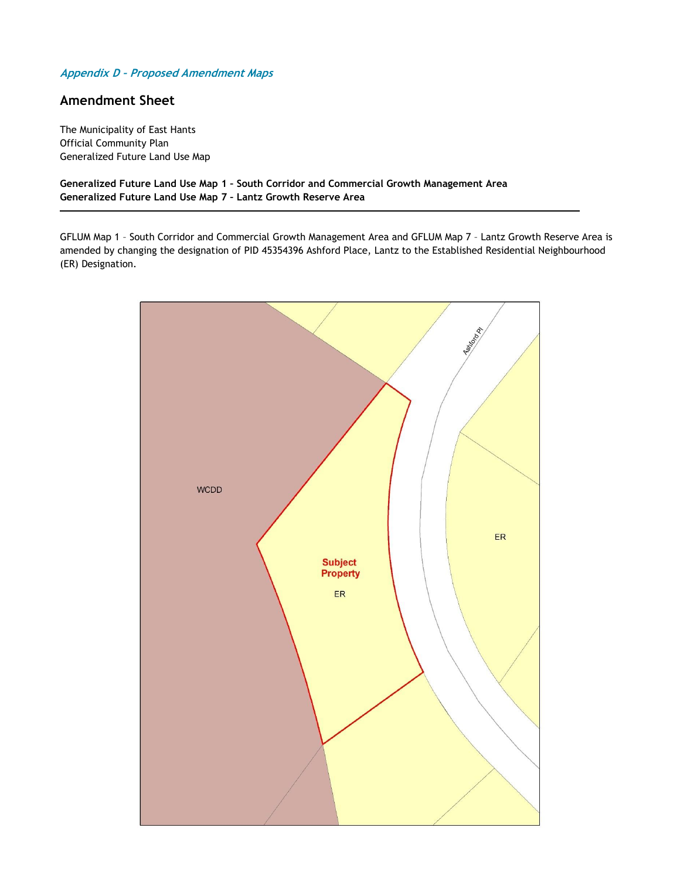#### **Appendix D – Proposed Amendment Maps**

#### **Amendment Sheet**

The Municipality of East Hants Official Community Plan Generalized Future Land Use Map

**Generalized Future Land Use Map 1 – South Corridor and Commercial Growth Management Area Generalized Future Land Use Map 7 – Lantz Growth Reserve Area**

GFLUM Map 1 – South Corridor and Commercial Growth Management Area and GFLUM Map 7 – Lantz Growth Reserve Area is amended by changing the designation of PID 45354396 Ashford Place, Lantz to the Established Residential Neighbourhood (ER) Designation.